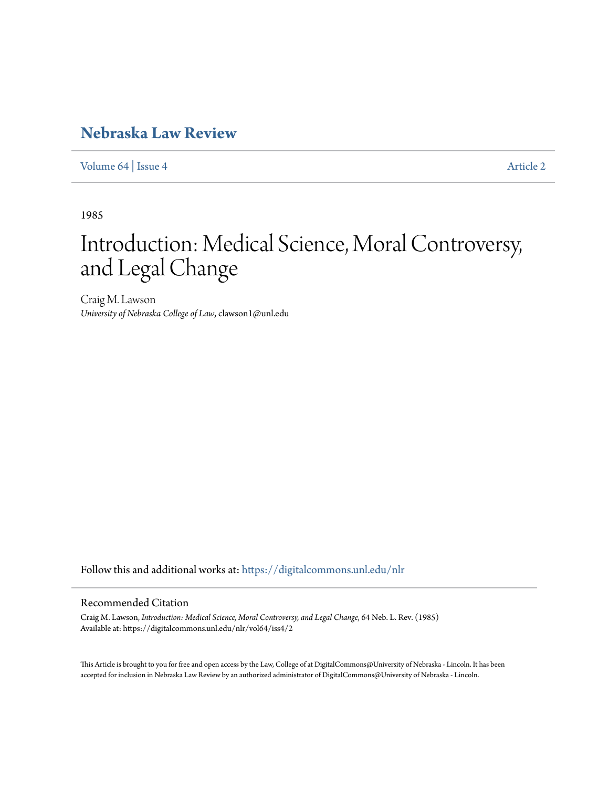# **[Nebraska Law Review](https://digitalcommons.unl.edu/nlr?utm_source=digitalcommons.unl.edu%2Fnlr%2Fvol64%2Fiss4%2F2&utm_medium=PDF&utm_campaign=PDFCoverPages)**

[Volume 64](https://digitalcommons.unl.edu/nlr/vol64?utm_source=digitalcommons.unl.edu%2Fnlr%2Fvol64%2Fiss4%2F2&utm_medium=PDF&utm_campaign=PDFCoverPages) | [Issue 4](https://digitalcommons.unl.edu/nlr/vol64/iss4?utm_source=digitalcommons.unl.edu%2Fnlr%2Fvol64%2Fiss4%2F2&utm_medium=PDF&utm_campaign=PDFCoverPages) [Article 2](https://digitalcommons.unl.edu/nlr/vol64/iss4/2?utm_source=digitalcommons.unl.edu%2Fnlr%2Fvol64%2Fiss4%2F2&utm_medium=PDF&utm_campaign=PDFCoverPages)

1985

# Introduction: Medical Science, Moral Controversy, and Legal Change

Craig M. Lawson *University of Nebraska College of Law*, clawson1@unl.edu

Follow this and additional works at: [https://digitalcommons.unl.edu/nlr](https://digitalcommons.unl.edu/nlr?utm_source=digitalcommons.unl.edu%2Fnlr%2Fvol64%2Fiss4%2F2&utm_medium=PDF&utm_campaign=PDFCoverPages)

## Recommended Citation

Craig M. Lawson, *Introduction: Medical Science, Moral Controversy, and Legal Change*, 64 Neb. L. Rev. (1985) Available at: https://digitalcommons.unl.edu/nlr/vol64/iss4/2

This Article is brought to you for free and open access by the Law, College of at DigitalCommons@University of Nebraska - Lincoln. It has been accepted for inclusion in Nebraska Law Review by an authorized administrator of DigitalCommons@University of Nebraska - Lincoln.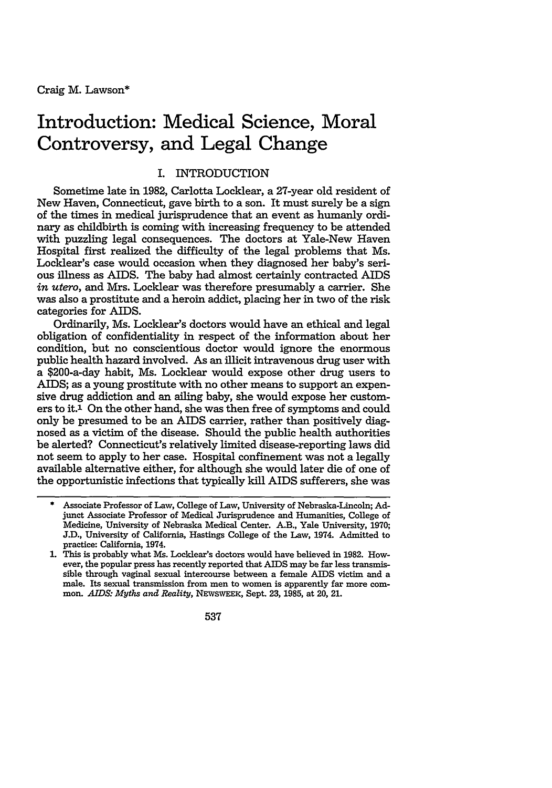# **Introduction: Medical Science, Moral Controversy, and Legal Change**

## I. INTRODUCTION

Sometime late in 1982, Carlotta Locklear, a 27-year old resident of New Haven, Connecticut, gave birth to a son. It must surely be a sign of the times in medical jurisprudence that an event as humanly ordinary as childbirth is coming with increasing frequency to be attended with puzzling legal consequences. The doctors at Yale-New Haven Hospital first realized the difficulty of the legal problems that Ms. Locklear's case would occasion when they diagnosed her baby's serious illness as AIDS. The baby had almost certainly contracted AIDS *in utero,* and Mrs. Locklear was therefore presumably a carrier. She was also a prostitute and a heroin addict, placing her in two of the risk categories for AIDS.

Ordinarily, Ms. Locklear's doctors would have an ethical and legal obligation of confidentiality in respect of the information about her condition, but no conscientious doctor would ignore the enormous public health hazard involved. As an illicit intravenous drug user with a \$200-a-day habit, Ms. Locklear would expose other drug users to AIDS; as a young prostitute with no other means to support an expensive drug addiction and an ailing baby, she would expose her customers to it.1 On the other hand, she was then free of symptoms and could only be presumed to be an AIDS carrier, rather than positively diagnosed as a victim of the disease. Should the public health authorities be alerted? Connecticut's relatively limited disease-reporting laws did not seem to apply to her case. Hospital confinement was not a legally available alternative either, for although she would later die of one of the opportunistic infections that typically kill AIDS sufferers, she was

537

<sup>\*</sup> Associate Professor of Law, College of Law, University of Nebraska-Lincoln; Adjunct Associate Professor of Medical Jurisprudence and Humanities, College of Medicine, University of Nebraska Medical Center. A.B., Yale University, 1970; J.D., University of California, Hastings College of the Law, 1974. Admitted to practice: California, 1974.

<sup>1.</sup> This is probably what Ms. Locklear's doctors would have believed in 1982. However, the popular press has recently reported that AIDS may be far less transmissible through vaginal sexual intercourse between a female AIDS victim and a male. Its sexual transmission from men to women is apparently far more common. *AIDS: Myths and Reality,* NEWswEEK, Sept. 23, 1985, at 20, 21.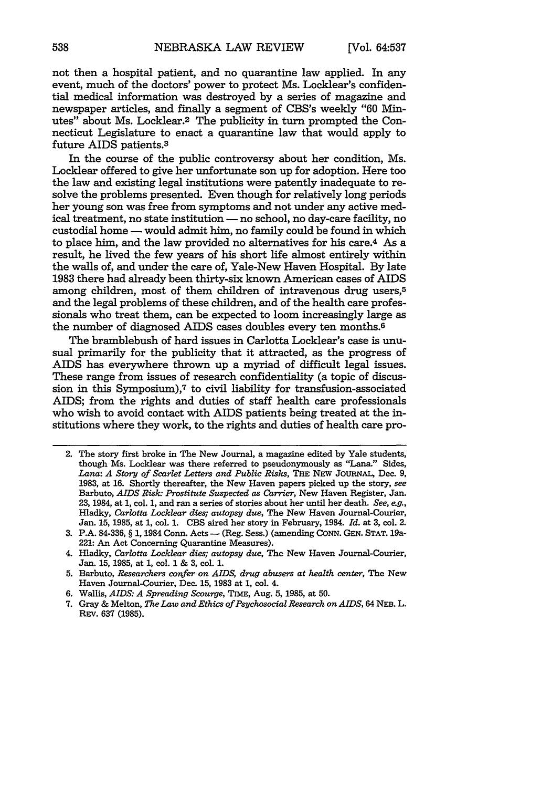not then a hospital patient, and no quarantine law applied. In any event, much of the doctors' power to protect Ms. Locklear's confidential medical information was destroyed by a series of magazine and newspaper articles, and finally a segment of CBS's weekly "60 Minutes" about Ms. Locklear.<sup>2</sup> The publicity in turn prompted the Connecticut Legislature to enact a quarantine law that would apply to future AIDS patients.3

In the course of the public controversy about her condition, Ms. Locklear offered to give her unfortunate son up for adoption. Here too the law and existing legal institutions were patently inadequate to resolve the problems presented. Even though for relatively long periods her young son was free from symptoms and not under any active medical treatment, no state institution **-** no school, no day-care facility, no custodial home - would admit him, no family could be found in which to place him, and the law provided no alternatives for his care.4 As a result, he lived the few years of his short life almost entirely within the walls of, and under the care of, Yale-New Haven Hospital. By late 1983 there had already been thirty-six known American cases of AIDS among children, most of them children of intravenous drug users,5 and the legal problems of these children, and of the health care professionals who treat them, can be expected to loom increasingly large as the number of diagnosed AIDS cases doubles every ten months.6

The bramblebush of hard issues in Carlotta Locklear's case is unusual primarily for the publicity that it attracted, as the progress of AIDS has everywhere thrown up a myriad of difficult legal issues. These range from issues of research confidentiality (a topic of discussion in this Symposium),7 to civil liability for transfusion-associated AIDS; from the rights and duties of staff health care professionals who wish to avoid contact with AIDS patients being treated at the institutions where they work, to the rights and duties of health care pro-

<sup>2.</sup> The story first broke in The New Journal, a magazine edited by Yale students, though Ms. Locklear was there referred to pseudonymously as "Lana." Sides, *Lana: A Story of Scarlet Letters and Public Risks,* THE **NEW JoURNAL,** Dec. 9, 1983, at 16. Shortly thereafter, the New Haven papers picked up the story, *see* Barbuto, *AIDS Risk: Prostitute Suspected as Carrier,* New Haven Register, Jan. 23, 1984, at 1, col. 1, and ran a series of stories about her until her death. *See, eg.,* Hladky, *Carlotta Locklear dies; autopsy due,* The New Haven Journal-Courier, Jan. 15, 1985, at 1, col. 1. CBS aired her story in February, 1984. *Id.* at 3, col. 2.

<sup>3.</sup> P.A. 84-336, § **1,** 1984 Conn. Acts - (Reg. Sess.) (amending **CONN.** GEN. **STAT.** 19a-221: An Act Concerning Quarantine Measures).

<sup>4.</sup> Hladky, *Carlotta Locklear dies; autopsy due,* The New Haven Journal-Courier, Jan. 15, 1985, at **1,** col. **1** & 3, col. 1.

<sup>5.</sup> Barbuto, *Researchers confer on AIDS, drug abusers at health center,* The New Haven Journal-Courier, Dec. 15, 1983 at 1, col. 4.

<sup>6.</sup> Wallis, *AIDS: A Spreading Scourge,* TIME, Aug. 5, 1985, at 50.

<sup>7.</sup> Gray & Melton, *The Law and Ethics of Psychosocial Research on AIDS,* <sup>64</sup>**NEB.** L. REV. 637 **(1985).**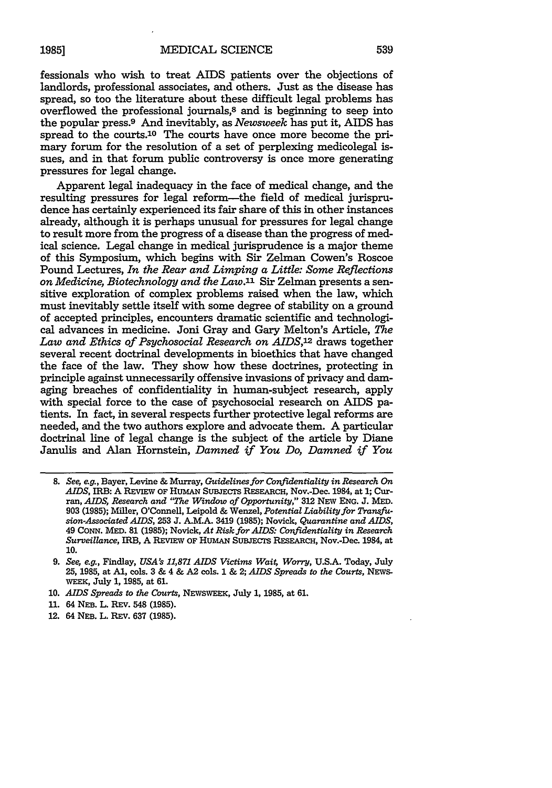fessionals who wish to treat AIDS patients over the objections of landlords, professional associates, and others. Just as the disease has spread, so too the literature about these difficult legal problems has overflowed the professional journals,8 and is beginning to seep into the popular press.9 And inevitably, as *Newsweek* has put it, AIDS has spread to the courts.<sup>10</sup> The courts have once more become the primary forum for the resolution of a set of perplexing medicolegal issues, and in that forum public controversy is once more generating pressures for legal change.

Apparent legal inadequacy in the face of medical change, and the resulting pressures for legal reform-the field of medical jurisprudence has certainly experienced its fair share of this in other instances already, although it is perhaps unusual for pressures for legal change to result more from the progress of a disease than the progress of medical science. Legal change in medical jurisprudence is a major theme of this Symposium, which begins with Sir Zelman Cowen's Roscoe Pound Lectures, *In the Rear and Limping a Little: Some Reflections on Medicine, Biotechnology and the Law.1 '* Sir Zelman presents a sensitive exploration of complex problems raised when the law, which must inevitably settle itself with some degree of stability on a ground of accepted principles, encounters dramatic scientific and technological advances in medicine. Joni Gray and Gary Melton's Article, *The Law and Ethics of Psychosocial Research on AIDS,12* draws together several recent doctrinal developments in bioethics that have changed the face of the law. They show how these doctrines, protecting in principle against unnecessarily offensive invasions of privacy and damaging breaches of confidentiality in human-subject research, apply with special force to the case of psychosocial research on AIDS patients. In fact, in several respects further protective legal reforms are needed, and the two authors explore and advocate them. A particular doctrinal line of legal change is the subject of the article by Diane Janulis and Alan Hornstein, *Damned if You Do, Damned if You*

- **10.** *AIDS Spreads to the Courts,* NEWSWEEK, July 1, **1985,** at 61.
- **11.** 64 **NEB.** L. REV. **548 (1985).**
- 12. 64 NEB. L. REv. **637** (1985).

**<sup>8.</sup>** *See, e.g.,* Bayer, Levine **&** Murray, *Guidelines for Confidentiality in Research On AIDS,* **IRB: A REVIEW** OF HuMAN SuBJECTS RESEARCH, Nov.-Dec. 1984, at **1;** Curran, *AIDS, Research and "The Window of Opportunity,"* 312 NEw ENG. J. MED. **903 (1985);** Miller, O'Connell, Leipold & Wenzel, *Potential Liability for Transfusion-Associated AIDS,* **253 J. A.M.A.** 3419 **(1985);** Novick, *Quarantine and AIDS,* 49 CONN. MED. 81 **(1985);** Novick, *At Risk for AIDS: Confidentiality in Research Surveillance,* IRB, A **REviEW OF** HumAN SuBJECTs RESEARCH, Nov.-Dec. 1984, at **10.**

*<sup>9.</sup> See, e.g.,* Findlay, *USA's 11,871 AIDS Victims Wait, Worry,* **U.S.A.** Today, July **25, 1985,** at **Al,** cols. **3 &** 4 **&** A2 cols. 1 **& 2;** *AIDS Spreads to the Courts,* **NEWS-**WEEK, July **1, 1985,** at **61.**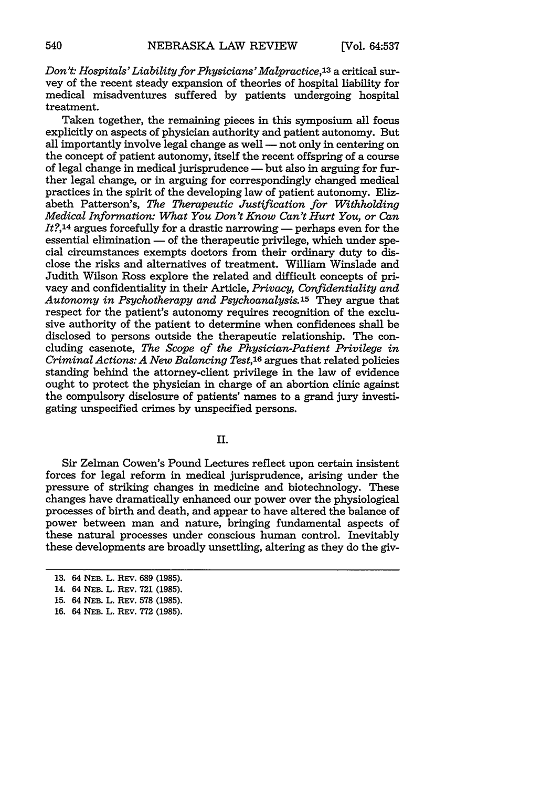*Don't: Hospitals'Liability for Physicians' Malpractice,13* a critical survey of the recent steady expansion of theories of hospital liability for medical misadventures suffered by patients undergoing hospital treatment.

Taken together, the remaining pieces in this symposium all focus explicitly on aspects of physician authority and patient autonomy. But all importantly involve legal change as well  $-$  not only in centering on the concept of patient autonomy, itself the recent offspring of a course of legal change in medical jurisprudence **-** but also in arguing for further legal change, or in arguing for correspondingly changed medical practices in the spirit of the developing law of patient autonomy. Elizabeth Patterson's, *The Therapeutic Justification for Withholding Medical Information: What You Don't Know Can't Hurt You, or Can It?*,<sup>14</sup> argues forcefully for a drastic narrowing — perhaps even for the essential elimination  $-$  of the therapeutic privilege, which under special circumstances exempts doctors from their ordinary duty to disclose the risks and alternatives of treatment. William Winslade and Judith Wilson Ross explore the related and difficult concepts of privacy and confidentiality in their Article, *Privacy, Confidentiality and Autonomy in Psychotherapy and Psychoanalysis.15* They argue that respect for the patient's autonomy requires recognition of the exclusive authority of the patient to determine when confidences shall be disclosed to persons outside the therapeutic relationship. The concluding casenote, *The Scope of the Physician-Patient Privilege in Criminal Actions: A New Balancing Test,16* argues that related policies standing behind the attorney-client privilege in the law of evidence ought to protect the physician in charge of an abortion clinic against the compulsory disclosure of patients' names to a grand jury investigating unspecified crimes by unspecified persons.

II.

Sir Zelman Cowen's Pound Lectures reflect upon certain insistent forces for legal reform in medical jurisprudence, arising under the pressure of striking changes in medicine and biotechnology. These changes have dramatically enhanced our power over the physiological processes of birth and death, and appear to have altered the balance of power between man and nature, bringing fundamental aspects of these natural processes under conscious human control. Inevitably these developments are broadly unsettling, altering as they do the giv-

<sup>13. 64</sup> NEB. L. REv. 689 (1985).

<sup>14. 64</sup> NEB. L. REv. 721 (1985).

<sup>15. 64</sup> NEB. L. REV. 578 (1985).

**<sup>16.</sup>** 64 **NEB.** L. REV. 772 (1985).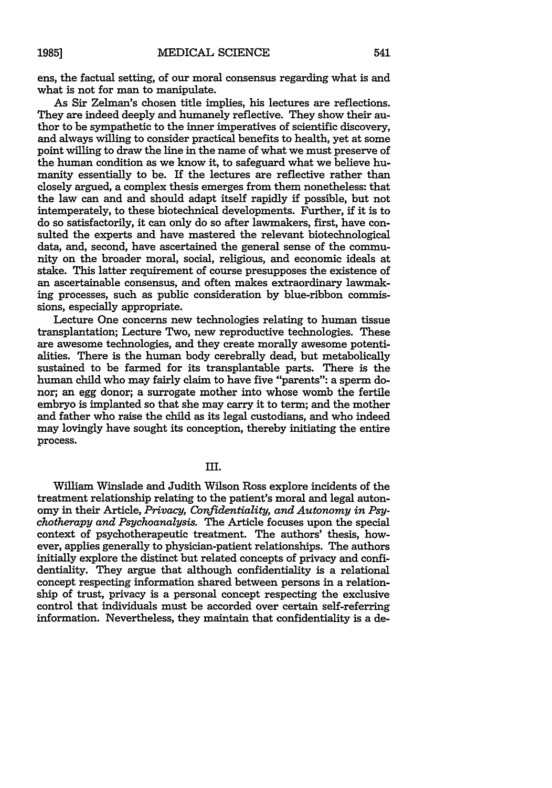ens, the factual setting, of our moral consensus regarding what is and what is not for man to manipulate.

As Sir Zelman's chosen title implies, his lectures are reflections. They are indeed deeply and humanely reflective. They show their author to be sympathetic to the inner imperatives of scientific discovery, and always willing to consider practical benefits to health, yet at some point willing to draw the line in the name of what we must preserve of the human condition as we know it, to safeguard what we believe humanity essentially to be. If the lectures are reflective rather than closely argued, a complex thesis emerges from them nonetheless: that the law can and and should adapt itself rapidly if possible, but not intemperately, to these biotechnical developments. Further, if it is to do so satisfactorily, it can only do so after lawmakers, first, have consulted the experts and have mastered the relevant biotechnological data, and, second, have ascertained the general sense of the community on the broader moral, social, religious, and economic ideals at stake. This latter requirement of course presupposes the existence of an ascertainable consensus, and often makes extraordinary lawmaking processes, such as public consideration by blue-ribbon commissions, especially appropriate.

Lecture One concerns new technologies relating to human tissue transplantation; Lecture Two, new reproductive technologies. These are awesome technologies, and they create morally awesome potentialities. There is the human body cerebrally dead, but metabolically sustained to be farmed for its transplantable parts. There is the human child who may fairly claim to have five "parents": a sperm donor; an egg donor; a surrogate mother into whose womb the fertile embryo is implanted so that she may carry it to term; and the mother and father who raise the child as its legal custodians, and who indeed may lovingly have sought its conception, thereby initiating the entire process.

III.

William Winslade and Judith Wilson Ross explore incidents of the treatment relationship relating to the patient's moral and legal autonomy in their Article, *Privacy, Confidentiality, and Autonomy in Psychotherapy and Psychoanalysis.* The Article focuses upon the special context of psychotherapeutic treatment. The authors' thesis, however, applies generally to physician-patient relationships. The authors initially explore the distinct but related concepts of privacy and confidentiality. They argue that although confidentiality is a relational concept respecting information shared between persons in a relationship of trust, privacy is a personal concept respecting the exclusive control that individuals must be accorded over certain self-referring information. Nevertheless, they maintain that confidentiality is a de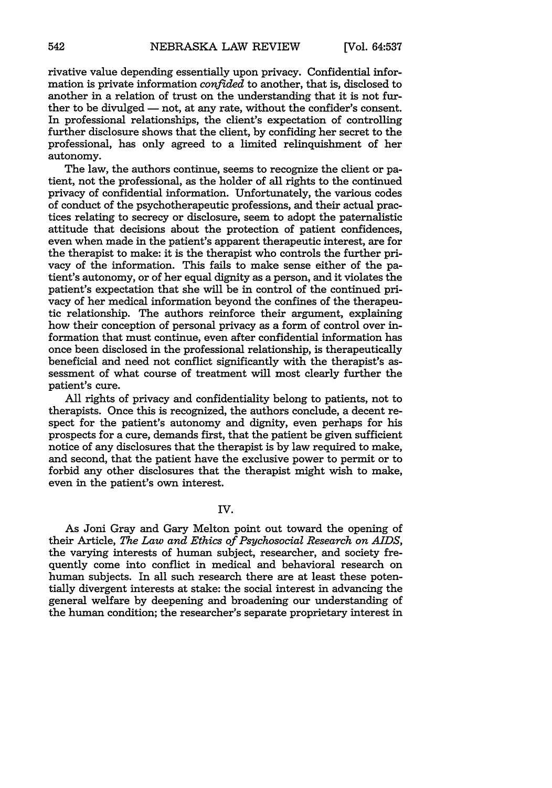rivative value depending essentially upon privacy. Confidential information is private information *confided* to another, that is, disclosed to another in a relation of trust on the understanding that it is not further to be divulged — not, at any rate, without the confider's consent. In professional relationships, the client's expectation of controlling further disclosure shows that the client, by confiding her secret to the professional, has only agreed to a limited relinquishment of her autonomy.

The law, the authors continue, seems to recognize the client or patient, not the professional, as the holder of all rights to the continued privacy of confidential information. Unfortunately, the various codes of conduct of the psychotherapeutic professions, and their actual practices relating to secrecy or disclosure, seem to adopt the paternalistic attitude that decisions about the protection of patient confidences, even when made in the patient's apparent therapeutic interest, are for the therapist to make: it is the therapist who controls the further privacy of the information. This fails to make sense either of the patient's autonomy, or of her equal dignity as a person, and it violates the patient's expectation that she will be in control of the continued privacy of her medical information beyond the confines of the therapeutic relationship. The authors reinforce their argument, explaining how their conception of personal privacy as a form of control over information that must continue, even after confidential information has once been disclosed in the professional relationship, is therapeutically beneficial and need not conflict significantly with the therapist's assessment of what course of treatment will most clearly further the patient's cure.

All rights of privacy and confidentiality belong to patients, not to therapists. Once this is recognized, the authors conclude, a decent respect for the patient's autonomy and dignity, even perhaps for his prospects for a cure, demands first, that the patient be given sufficient notice of any disclosures that the therapist is by law required to make, and second, that the patient have the exclusive power to permit or to forbid any other disclosures that the therapist might wish to make, even in the patient's own interest.

#### IV.

As Joni Gray and Gary Melton point out toward the opening of their Article, *The Law and Ethics of Psychosocial Research on AIDS,* the varying interests of human subject, researcher, and society frequently come into conflict in medical and behavioral research on human subjects. In all such research there are at least these potentially divergent interests at stake: the social interest in advancing the general welfare by deepening and broadening our understanding of the human condition; the researcher's separate proprietary interest in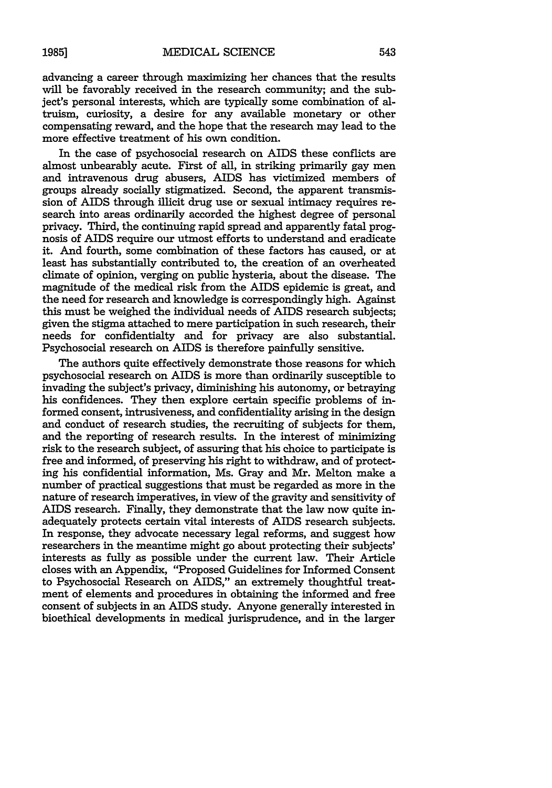advancing a career through maximizing her chances that the results will be favorably received in the research community; and the subject's personal interests, which are typically some combination of altruism, curiosity, a desire for any available monetary or other compensating reward, and the hope that the research may lead to the more effective treatment of his own condition.

In the case of psychosocial research on AIDS these conflicts are almost unbearably acute. First of all, in striking primarily gay men and intravenous drug abusers, AIDS has victimized members of groups already socially stigmatized. Second, the apparent transmission of AIDS through illicit drug use or sexual intimacy requires research into areas ordinarily accorded the highest degree of personal privacy. Third, the continuing rapid spread and apparently fatal prognosis of AIDS require our utmost efforts to understand and eradicate it. And fourth, some combination of these factors has caused, or at least has substantially contributed to, the creation of an overheated climate of opinion, verging on public hysteria, about the disease. The magnitude of the medical risk from the AIDS epidemic is great, and the need for research and knowledge is correspondingly high. Against this must be weighed the individual needs of AIDS research subjects; given the stigma attached to mere participation in such research, their needs for confidentialty and for privacy are also substantial. Psychosocial research on AIDS is therefore painfully sensitive.

The authors quite effectively demonstrate those reasons for which psychosocial research on AIDS is more than ordinarily susceptible to invading the subject's privacy, diminishing his autonomy, or betraying his confidences. They then explore certain specific problems of informed consent, intrusiveness, and confidentiality arising in the design and conduct of research studies, the recruiting of subjects for them, and the reporting of research results. In the interest of minimizing risk to the research subject, of assuring that his choice to participate is free and informed, of preserving his right to withdraw, and of protecting his confidential information, Ms. Gray and Mr. Melton make a number of practical suggestions that must be regarded as more in the nature of research imperatives, in view of the gravity and sensitivity of AIDS research. Finally, they demonstrate that the law now quite inadequately protects certain vital interests of AIDS research subjects. In response, they advocate necessary legal reforms, and suggest how researchers in the meantime might go about protecting their subjects' interests as fully as possible under the current law. Their Article closes with an Appendix, "Proposed Guidelines for Informed Consent to Psychosocial Research on AIDS," an extremely thoughtful treatment of elements and procedures in obtaining the informed and free consent of subjects in an AIDS study. Anyone generally interested in bioethical developments in medical jurisprudence, and in the larger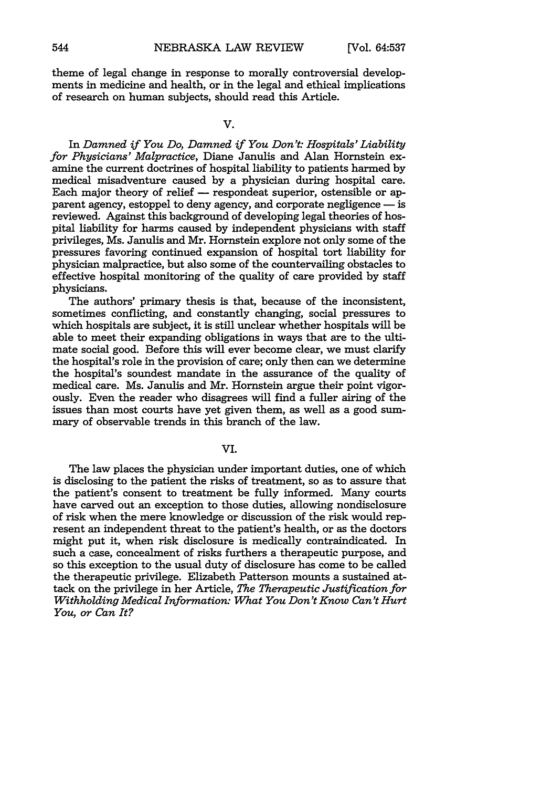theme of legal change in response to morally controversial developments in medicine and health, or in the legal and ethical implications of research on human subjects, should read this Article.

#### **V.**

In *Damned if You Do, Damned if You Don't: Hospitals' Liability for Physicians' Malpractice,* Diane Janulis and Alan Hornstein examine the current doctrines of hospital liability to patients harmed by medical misadventure caused by a physician during hospital care. Each major theory of relief - respondeat superior, ostensible or apparent agency, estoppel to deny agency, and corporate negligence  $-\mathrm{is}$ reviewed. Against this background of developing legal theories of hospital liability for harms caused by independent physicians with staff privileges, Ms. Janulis and Mr. Hornstein explore not only some of the pressures favoring continued expansion of hospital tort liability for physician malpractice, but also some of the countervailing obstacles to effective hospital monitoring of the quality of care provided by staff physicians.

The authors' primary thesis is that, because of the inconsistent, sometimes conflicting, and constantly changing, social pressures to which hospitals are subject, it is still unclear whether hospitals will be able to meet their expanding obligations in ways that are to the ultimate social good. Before this will ever become clear, we must clarify the hospital's role in the provision of care; only then can we determine the hospital's soundest mandate in the assurance of the quality of medical care. Ms. Janulis and Mr. Hornstein argue their point vigorously. Even the reader who disagrees will find a fuller airing of the issues than most courts have yet given them, as well as a good summary of observable trends in this branch of the law.

**VI.**

The law places the physician under important duties, one of which is disclosing to the patient the risks of treatment, so as to assure that the patient's consent to treatment be fully informed. Many courts have carved out an exception to those duties, allowing nondisclosure of risk when the mere knowledge or discussion of the risk would represent an independent threat to the patient's health, or as the doctors might put it, when risk disclosure is medically contraindicated. In such a case, concealment of risks furthers a therapeutic purpose, and so this exception to the usual duty of disclosure has come to be called the therapeutic privilege. Elizabeth Patterson mounts a sustained attack on the privilege in her Article, *The Therapeutic Justification for Withholding Medical Information: What You Don't Know Can't Hurt You, or Can It?*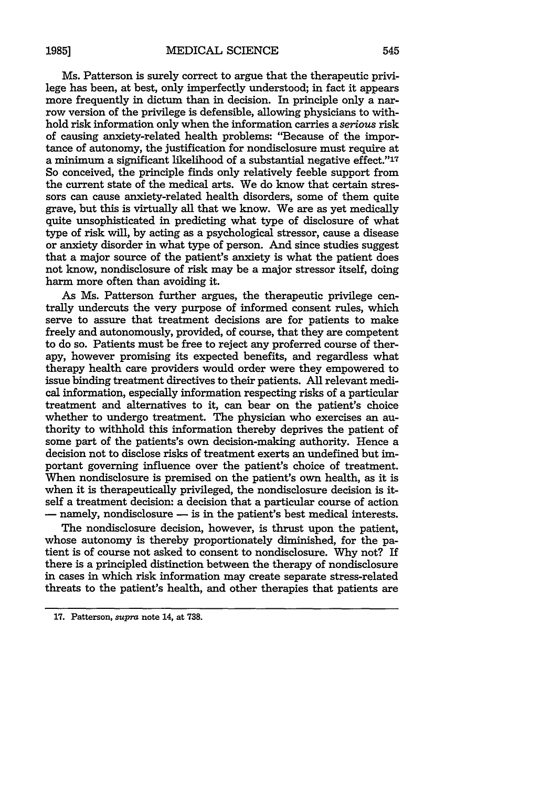Ms. Patterson is surely correct to argue that the therapeutic privilege has been, at best, only imperfectly understood; in fact it appears more frequently in dictum than in decision. In principle only a narrow version of the privilege is defensible, allowing physicians to withhold risk information only when the information carries a serious risk of causing anxiety-related health problems: "Because of the importance of autonomy, the justification for nondisclosure must require at a minimum a significant likelihood of a substantial negative effect."<sup>17</sup> So conceived, the principle finds only relatively feeble support from the current state of the medical arts. We do know that certain stressors can cause anxiety-related health disorders, some of them quite grave, but this is virtually all that we know. We are as yet medically quite unsophisticated in predicting what type of disclosure of what type of risk will, **by** acting as a psychological stressor, cause a disease or anxiety disorder in what type of person. And since studies suggest that a major source of the patient's anxiety is what the patient does not know, nondisclosure of risk may be a major stressor itself, doing harm more often than avoiding it.

As Ms. Patterson further argues, the therapeutic privilege centrally undercuts the very purpose of informed consent rules, which serve to assure that treatment decisions are for patients to make freely and autonomously, provided, of course, that they are competent to do so. Patients must be free to reject any proferred course of therapy, however promising its expected benefits, and regardless what therapy health care providers would order were they empowered to issue binding treatment directives to their patients. **All** relevant medical information, especially information respecting risks of a particular treatment and alternatives to it, can bear on the patient's choice whether to undergo treatment. The physician who exercises an authority to withhold this information thereby deprives the patient of some part of the patients's own decision-making authority. Hence a decision not to disclose risks of treatment exerts an undefined but important governing influence over the patient's choice of treatment. When nondisclosure is premised on the patient's own health, as it is when it is therapeutically privileged, the nondisclosure decision is itself a treatment decision: a decision that a particular course of action - namely, nondisclosure  $-$  is in the patient's best medical interests.

The nondisclosure decision, however, is thrust upon the patient, whose autonomy is thereby proportionately diminished, for the patient is of course not asked to consent to nondisclosure. **Why** not? If there is a principled distinction between the therapy of nondisclosure in cases in which risk information may create separate stress-related threats to the patient's health, and other therapies that patients are

**<sup>17.</sup>** Patterson, supra note 14, at **738.**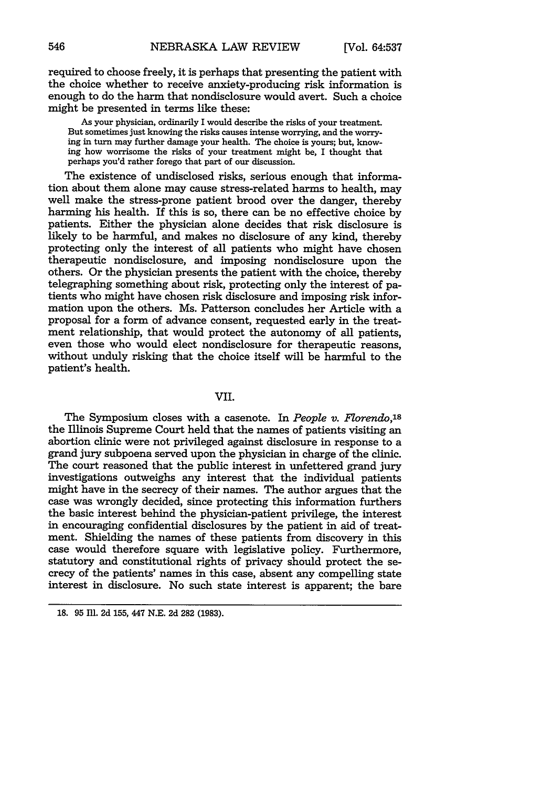required to choose freely, it is perhaps that presenting the patient with the choice whether to receive anxiety-producing risk information is enough to do the harm that nondisclosure would avert. Such a choice might be presented in terms like these:

As your physician, ordinarily I would describe the risks of your treatment. But sometimes just knowing the risks causes intense worrying, and the worrying in turn may further damage your health. The choice is yours; but, knowing how worrisome the risks of your treatment might be, I thought that perhaps you'd rather forego that part of our discussion.

The existence of undisclosed risks, serious enough that information about them alone may cause stress-related harms to health, may well make the stress-prone patient brood over the danger, thereby harming his health. If this is so, there can be no effective choice **by** patients. Either the physician alone decides that risk disclosure is likely to be harmful, and makes no disclosure of any kind, thereby protecting only the interest of all patients who might have chosen therapeutic nondisclosure, and imposing nondisclosure upon the others. Or the physician presents the patient with the choice, thereby telegraphing something about risk, protecting only the interest of patients who might have chosen risk disclosure and imposing risk information upon the others. Ms. Patterson concludes her Article with a proposal for a form of advance consent, requested early in the treatment relationship, that would protect the autonomy of all patients, even those who would elect nondisclosure for therapeutic reasons, without unduly risking that the choice itself will be harmful to the patient's health.

#### **VII.**

The Symposium closes with a casenote. In *People v. Florendo*,<sup>18</sup> the Illinois Supreme Court held that the names of patients visiting an abortion clinic were not privileged against disclosure in response to a grand jury subpoena served upon the physician in charge of the clinic. The court reasoned that the public interest in unfettered grand jury investigations outweighs any interest that the individual patients might have in the secrecy of their names. The author argues that the case was wrongly decided, since protecting this information furthers the basic interest behind the physician-patient privilege, the interest **in** encouraging confidential disclosures **by** the patient in aid of treatment. Shielding the names of these patients from discovery in this case would therefore square with legislative policy. Furthermore, statutory and constitutional rights of privacy should protect the secrecy of the patients' names in this case, absent any compelling state interest in disclosure. No such state interest is apparent; the bare

**<sup>18. 95</sup>** Ill. 2d **155,** 447 **N.E.** 2d **282 (1983).**